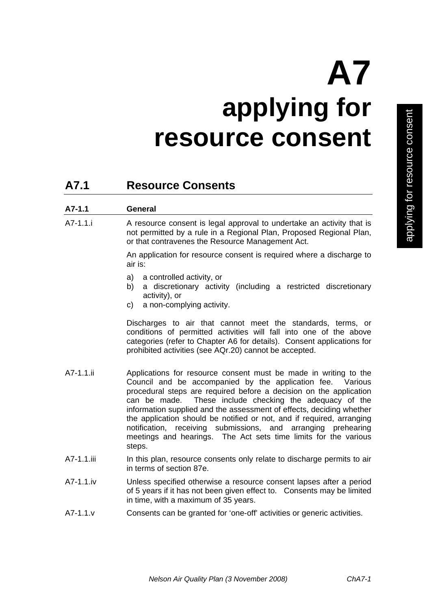# **A7 applying for resource consent**

# **A7.1 Resource Consents**

| $A7-1.1$   | General                                                                                                                                                                                          |
|------------|--------------------------------------------------------------------------------------------------------------------------------------------------------------------------------------------------|
| - A7-1.1.i | A resource consent is legal approval to undertake an activity that is<br>not permitted by a rule in a Regional Plan, Proposed Regional Plan,<br>or that contravenes the Resource Management Act. |

 An application for resource consent is required where a discharge to air is:

- a) a controlled activity, or
- b) a discretionary activity (including a restricted discretionary activity), or
- c) a non-complying activity.

Discharges to air that cannot meet the standards, terms, or conditions of permitted activities will fall into one of the above categories (refer to Chapter A6 for details). Consent applications for prohibited activities (see AQr.20) cannot be accepted.

- A7-1.1.ii Applications for resource consent must be made in writing to the Council and be accompanied by the application fee. Various procedural steps are required before a decision on the application can be made. These include checking the adequacy of the information supplied and the assessment of effects, deciding whether the application should be notified or not, and if required, arranging notification, receiving submissions, and arranging prehearing meetings and hearings. The Act sets time limits for the various steps.
- A7-1.1.iii In this plan, resource consents only relate to discharge permits to air in terms of section 87e.
- A7-1.1.iv Unless specified otherwise a resource consent lapses after a period of 5 years if it has not been given effect to. Consents may be limited in time, with a maximum of 35 years.
- A7-1.1.v Consents can be granted for 'one-off' activities or generic activities.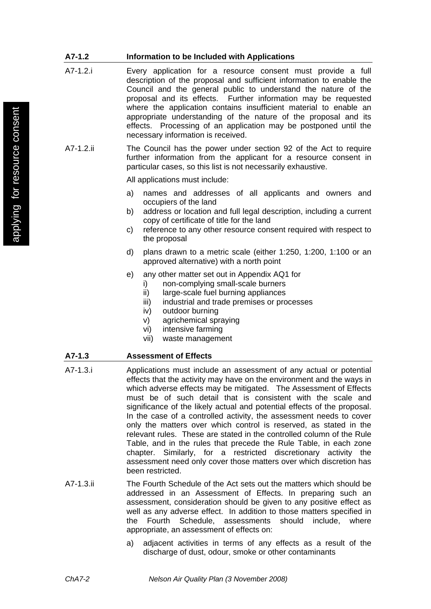### **A7-1.2 Information to be Included with Applications**

- A7-1.2.i Every application for a resource consent must provide a full description of the proposal and sufficient information to enable the Council and the general public to understand the nature of the proposal and its effects. Further information may be requested where the application contains insufficient material to enable an appropriate understanding of the nature of the proposal and its effects. Processing of an application may be postponed until the necessary information is received.
- A7-1.2.ii The Council has the power under section 92 of the Act to require further information from the applicant for a resource consent in particular cases, so this list is not necessarily exhaustive.

All applications must include:

- a) names and addresses of all applicants and owners and occupiers of the land
- b) address or location and full legal description, including a current copy of certificate of title for the land
- c) reference to any other resource consent required with respect to the proposal
- d) plans drawn to a metric scale (either 1:250, 1:200, 1:100 or an approved alternative) with a north point
- e) any other matter set out in Appendix AQ1 for
	- i) non-complying small-scale burners
	- ii) large-scale fuel burning appliances
	- iii) industrial and trade premises or processes
	- iv) outdoor burning
	- v) agrichemical spraying
	- vi) intensive farming
	- vii) waste management

#### **A7-1.3 Assessment of Effects**

- A7-1.3.i Applications must include an assessment of any actual or potential effects that the activity may have on the environment and the ways in which adverse effects may be mitigated. The Assessment of Effects must be of such detail that is consistent with the scale and significance of the likely actual and potential effects of the proposal. In the case of a controlled activity, the assessment needs to cover only the matters over which control is reserved, as stated in the relevant rules. These are stated in the controlled column of the Rule Table, and in the rules that precede the Rule Table, in each zone chapter. Similarly, for a restricted discretionary activity the assessment need only cover those matters over which discretion has been restricted.
- A7-1.3.ii The Fourth Schedule of the Act sets out the matters which should be addressed in an Assessment of Effects. In preparing such an assessment, consideration should be given to any positive effect as well as any adverse effect. In addition to those matters specified in the Fourth Schedule, assessments should include, where appropriate, an assessment of effects on:
	- a) adjacent activities in terms of any effects as a result of the discharge of dust, odour, smoke or other contaminants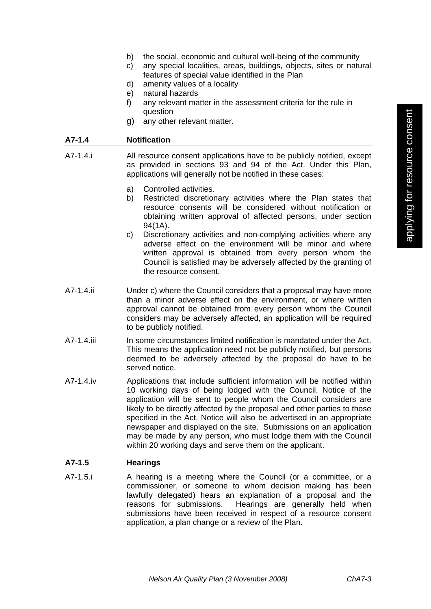- b) the social, economic and cultural well-being of the community
- c) any special localities, areas, buildings, objects, sites or natural features of special value identified in the Plan
- d) amenity values of a locality
- e) natural hazards
- f) any relevant matter in the assessment criteria for the rule in question
- g) any other relevant matter.

#### **A7-1.4 Notification**

- A7-1.4.i All resource consent applications have to be publicly notified, except as provided in sections 93 and 94 of the Act. Under this Plan, applications will generally not be notified in these cases:
	- a) Controlled activities.
	- b) Restricted discretionary activities where the Plan states that resource consents will be considered without notification or obtaining written approval of affected persons, under section 94(1A).
	- c) Discretionary activities and non-complying activities where any adverse effect on the environment will be minor and where written approval is obtained from every person whom the Council is satisfied may be adversely affected by the granting of the resource consent.
- A7-1.4.ii Under c) where the Council considers that a proposal may have more than a minor adverse effect on the environment, or where written approval cannot be obtained from every person whom the Council considers may be adversely affected, an application will be required to be publicly notified.
- A7-1.4.ii In some circumstances limited notification is mandated under the Act. This means the application need not be publicly notified, but persons deemed to be adversely affected by the proposal do have to be served notice.
- A7-1.4.iv Applications that include sufficient information will be notified within 10 working days of being lodged with the Council. Notice of the application will be sent to people whom the Council considers are likely to be directly affected by the proposal and other parties to those specified in the Act. Notice will also be advertised in an appropriate newspaper and displayed on the site. Submissions on an application may be made by any person, who must lodge them with the Council within 20 working days and serve them on the applicant.

#### **A7-1.5 Hearings**

A7-1.5.i A hearing is a meeting where the Council (or a committee, or a commissioner, or someone to whom decision making has been lawfully delegated) hears an explanation of a proposal and the reasons for submissions. Hearings are generally held when submissions have been received in respect of a resource consent application, a plan change or a review of the Plan.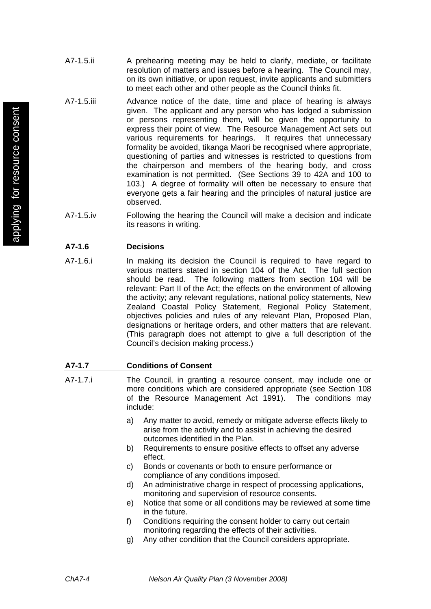- A7-1.5.ii A prehearing meeting may be held to clarify, mediate, or facilitate resolution of matters and issues before a hearing. The Council may, on its own initiative, or upon request, invite applicants and submitters to meet each other and other people as the Council thinks fit.
- A7-1.5.iii Advance notice of the date, time and place of hearing is always given. The applicant and any person who has lodged a submission or persons representing them, will be given the opportunity to express their point of view. The Resource Management Act sets out various requirements for hearings. It requires that unnecessary formality be avoided, tikanga Maori be recognised where appropriate, questioning of parties and witnesses is restricted to questions from the chairperson and members of the hearing body, and cross examination is not permitted. (See Sections 39 to 42A and 100 to 103.) A degree of formality will often be necessary to ensure that everyone gets a fair hearing and the principles of natural justice are observed.
- A7-1.5.iv Following the hearing the Council will make a decision and indicate its reasons in writing.

# **A7-1.6 Decisions**

A7-1.6.i In making its decision the Council is required to have regard to various matters stated in section 104 of the Act. The full section should be read. The following matters from section 104 will be relevant: Part II of the Act; the effects on the environment of allowing the activity; any relevant regulations, national policy statements, New Zealand Coastal Policy Statement, Regional Policy Statement, objectives policies and rules of any relevant Plan, Proposed Plan, designations or heritage orders, and other matters that are relevant. (This paragraph does not attempt to give a full description of the Council's decision making process.)

# **A7-1.7 Conditions of Consent**

- A7-1.7.i The Council, in granting a resource consent, may include one or more conditions which are considered appropriate (see Section 108 of the Resource Management Act 1991). The conditions may include:
	- a) Any matter to avoid, remedy or mitigate adverse effects likely to arise from the activity and to assist in achieving the desired outcomes identified in the Plan.
	- b) Requirements to ensure positive effects to offset any adverse effect.
	- c) Bonds or covenants or both to ensure performance or compliance of any conditions imposed.
	- d) An administrative charge in respect of processing applications, monitoring and supervision of resource consents.
	- e) Notice that some or all conditions may be reviewed at some time in the future.
	- f) Conditions requiring the consent holder to carry out certain monitoring regarding the effects of their activities.
	- g) Any other condition that the Council considers appropriate.